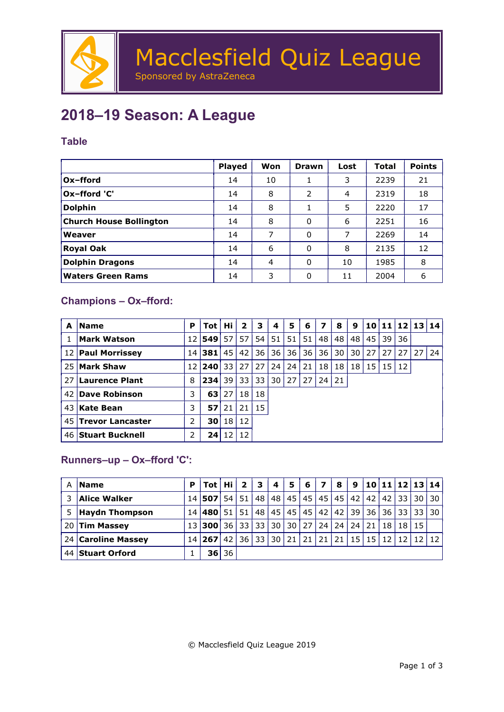

## 2018–19 Season: A League

#### Table

|                                | <b>Played</b> | Won | Drawn | Lost | Total | <b>Points</b> |
|--------------------------------|---------------|-----|-------|------|-------|---------------|
| Ox-fford                       | 14            | 10  |       | 3    | 2239  | 21            |
| Ox-fford 'C'                   | 14            | 8   | 2     | 4    | 2319  | 18            |
| <b>Dolphin</b>                 | 14            | 8   |       | 5    | 2220  | 17            |
| <b>Church House Bollington</b> | 14            | 8   | 0     | 6    | 2251  | 16            |
| <b>Weaver</b>                  | 14            | 7   | 0     | 7    | 2269  | 14            |
| Royal Oak                      | 14            | 6   | 0     | 8    | 2135  | 12            |
| <b>Dolphin Dragons</b>         | 14            | 4   | 0     | 10   | 1985  | 8             |
| <b>Waters Green Rams</b>       | 14            | 3   | 0     | 11   | 2004  | 6             |

### Champions – Ox–fford:

| A    | <b>Name</b>             | P  | <b>Tot</b> | Hi | $\mathbf{2}$ | 3  | 4  | 5  | 6    | 7    | 8  | 9  |    | 10 11 12 13 14  |    |    |    |
|------|-------------------------|----|------------|----|--------------|----|----|----|------|------|----|----|----|-----------------|----|----|----|
|      | <b>Mark Watson</b>      |    | 12 549     | 57 | 57           | 54 | 51 | 51 | 51   | 48 l | 48 | 48 | 45 | 39              | 36 |    |    |
| 12 l | <b>Paul Morrissey</b>   |    | 14 381     | 45 | 42           | 36 | 36 | 36 | 36   | 36 l | 30 | 30 | 27 | 27              | 27 | 27 | 24 |
| 25   | <b>Mark Shaw</b>        | 12 | 240        | 33 | 27           | 27 | 24 | 24 | 21   | 18   | 18 | 18 | 15 | 15 <sup>1</sup> | 12 |    |    |
| 27   | Laurence Plant          | 8  | 234        | 39 | 33           | 33 | 30 | 27 | 27 I | 24   | 21 |    |    |                 |    |    |    |
| 42   | Dave Robinson           | 3  | 63         | 27 | 18           | 18 |    |    |      |      |    |    |    |                 |    |    |    |
| 43   | Kate Bean               | 3  | 57         | 21 | 21           | 15 |    |    |      |      |    |    |    |                 |    |    |    |
| 45   | <b>Trevor Lancaster</b> | 2  | 30 l       | 18 | 12           |    |    |    |      |      |    |    |    |                 |    |    |    |
|      | 46 Stuart Bucknell      | 2  | 24         | 12 | 12           |    |    |    |      |      |    |    |    |                 |    |    |    |

### Runners–up – Ox–fford 'C':

| А    | <b>Name</b>           | Р | Tot    | Hi   | $\mathbf{2}$ | 3     | 4  | 5  | 6                         | 7               | 8  | 9               |       | 10 11 12 |    | 13   14         |      |
|------|-----------------------|---|--------|------|--------------|-------|----|----|---------------------------|-----------------|----|-----------------|-------|----------|----|-----------------|------|
|      | <b>Alice Walker</b>   |   | 14 507 | 54   | 51           | 48    | 48 | 45 | 45                        | 45              | 45 | 42              | 42    | 42       | 33 | 30 <sup>1</sup> | 30   |
| 5    | <b>Haydn Thompson</b> |   | 14 480 | 51   | 51           | 48    | 45 | 45 | 45                        | 42 l            | 42 | 39 l            | 36    | 36       | 33 | 33 <sup>1</sup> | l 30 |
| 20   | <b>Tim Massey</b>     |   | 13 300 | 36 l |              | 33 33 | 30 | 30 | 27                        | 24 <sup>1</sup> | 24 | 24 <sup>1</sup> | 21    | 18       | 18 | 15 <sub>1</sub> |      |
|      | 24 Caroline Massey    |   | 14 267 | 42   | 36 l         | 33    | 30 |    | $21 \mid 21 \mid 21 \mid$ |                 | 21 |                 | 15 15 | $12$ 12  |    |                 |      |
| 44 I | <b>Stuart Orford</b>  |   | 36     | 36   |              |       |    |    |                           |                 |    |                 |       |          |    |                 |      |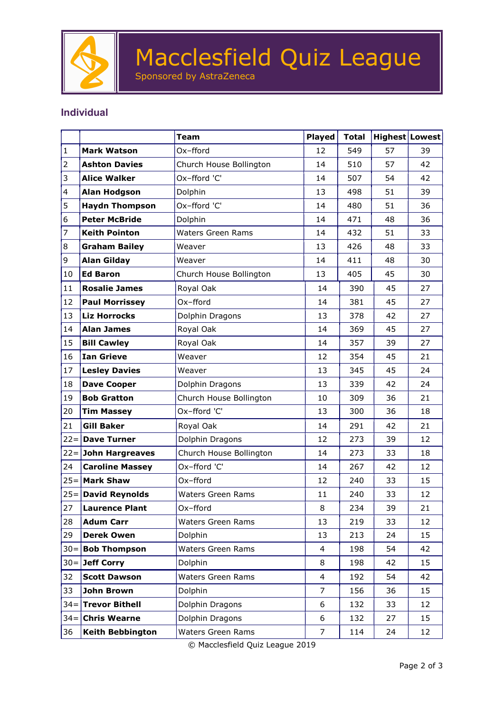

# Macclesfield Quiz League

Sponsored by AstraZeneca

#### Individual

|              |                         | <b>Team</b>              | <b>Played</b>  | <b>Total</b> | Highest Lowest |    |
|--------------|-------------------------|--------------------------|----------------|--------------|----------------|----|
| $\mathbf{1}$ | <b>Mark Watson</b>      | Ox-fford                 | 12             | 549          | 57             | 39 |
| 2            | <b>Ashton Davies</b>    | Church House Bollington  | 14             | 510          | 57             | 42 |
| 3            | <b>Alice Walker</b>     | Ox-fford 'C'             | 14             | 507          | 54             | 42 |
| 4            | <b>Alan Hodgson</b>     | Dolphin                  | 13             | 498          | 51             | 39 |
| 5            | <b>Haydn Thompson</b>   | Ox-fford 'C'             | 14             | 480          | 51             | 36 |
| 6            | <b>Peter McBride</b>    | Dolphin                  | 14             | 471          | 48             | 36 |
| 7            | <b>Keith Pointon</b>    | <b>Waters Green Rams</b> | 14             | 432          | 51             | 33 |
| 8            | <b>Graham Bailey</b>    | Weaver                   | 13             | 426          | 48             | 33 |
| 9            | <b>Alan Gilday</b>      | Weaver                   | 14             | 411          | 48             | 30 |
| 10           | <b>Ed Baron</b>         | Church House Bollington  | 13             | 405          | 45             | 30 |
| 11           | <b>Rosalie James</b>    | Royal Oak                | 14             | 390          | 45             | 27 |
| 12           | <b>Paul Morrissey</b>   | Ox-fford                 | 14             | 381          | 45             | 27 |
| 13           | <b>Liz Horrocks</b>     | Dolphin Dragons          | 13             | 378          | 42             | 27 |
| 14           | <b>Alan James</b>       | Royal Oak                | 14             | 369          | 45             | 27 |
| 15           | <b>Bill Cawley</b>      | Royal Oak                | 14             | 357          | 39             | 27 |
| 16           | <b>Ian Grieve</b>       | Weaver                   | 12             | 354          | 45             | 21 |
| 17           | <b>Lesley Davies</b>    | Weaver                   | 13             | 345          | 45             | 24 |
| 18           | <b>Dave Cooper</b>      | Dolphin Dragons          | 13             | 339          | 42             | 24 |
| 19           | <b>Bob Gratton</b>      | Church House Bollington  | 10             | 309          | 36             | 21 |
| 20           | <b>Tim Massey</b>       | Ox-fford 'C'             | 13             | 300          | 36             | 18 |
| 21           | <b>Gill Baker</b>       | Royal Oak                | 14             | 291          | 42             | 21 |
|              | $22 =$ Dave Turner      | Dolphin Dragons          | 12             | 273          | 39             | 12 |
|              | $22 =$ John Hargreaves  | Church House Bollington  | 14             | 273          | 33             | 18 |
| 24           | <b>Caroline Massey</b>  | Ox-fford 'C'             | 14             | 267          | 42             | 12 |
| $25 =$       | <b>Mark Shaw</b>        | Ox-fford                 | 12             | 240          | 33             | 15 |
| $25=$        | <b>David Reynolds</b>   | <b>Waters Green Rams</b> | 11             | 240          | 33             | 12 |
| 27           | <b>Laurence Plant</b>   | Ox-fford                 | 8              | 234          | 39             | 21 |
| 28           | <b>Adum Carr</b>        | Waters Green Rams        | 13             | 219          | 33             | 12 |
| 29           | <b>Derek Owen</b>       | Dolphin                  | 13             | 213          | 24             | 15 |
|              | $30 =$ Bob Thompson     | <b>Waters Green Rams</b> | $\overline{4}$ | 198          | 54             | 42 |
| $30 =$       | Jeff Corry              | Dolphin                  | 8              | 198          | 42             | 15 |
| 32           | <b>Scott Dawson</b>     | Waters Green Rams        | $\overline{4}$ | 192          | 54             | 42 |
| 33           | John Brown              | Dolphin                  | $\overline{7}$ | 156          | 36             | 15 |
|              | $34 =$ Trevor Bithell   | Dolphin Dragons          | 6              | 132          | 33             | 12 |
|              | $34 =$ Chris Wearne     | Dolphin Dragons          | 6              | 132          | 27             | 15 |
| 36           | <b>Keith Bebbington</b> | Waters Green Rams        | $\overline{7}$ | 114          | 24             | 12 |

© Macclesfield Quiz League 2019